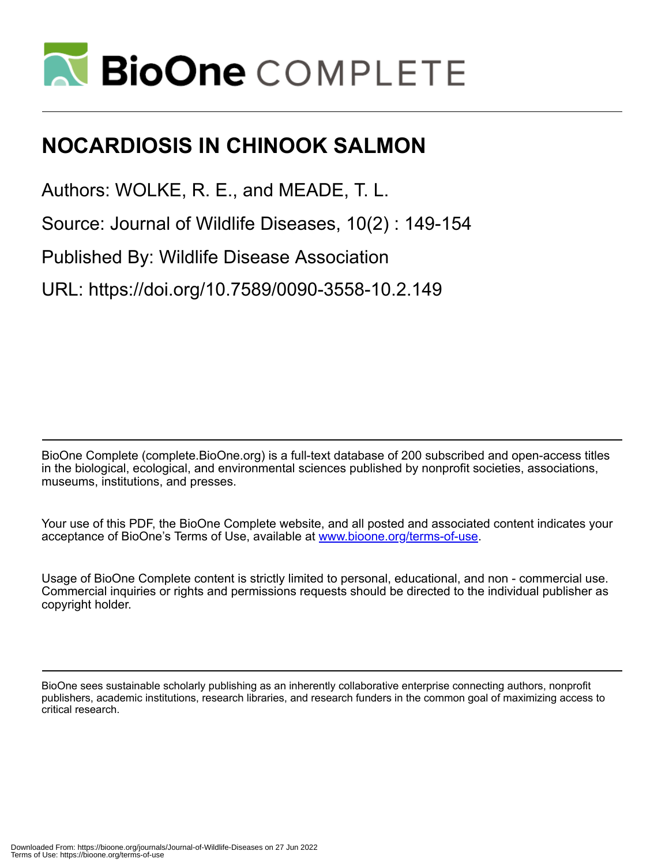

# **NOCARDIOSIS IN CHINOOK SALMON**

Authors: WOLKE, R. E., and MEADE, T. L.

Source: Journal of Wildlife Diseases, 10(2) : 149-154

Published By: Wildlife Disease Association

URL: https://doi.org/10.7589/0090-3558-10.2.149

BioOne Complete (complete.BioOne.org) is a full-text database of 200 subscribed and open-access titles in the biological, ecological, and environmental sciences published by nonprofit societies, associations, museums, institutions, and presses.

Your use of this PDF, the BioOne Complete website, and all posted and associated content indicates your acceptance of BioOne's Terms of Use, available at www.bioone.org/terms-of-use.

Usage of BioOne Complete content is strictly limited to personal, educational, and non - commercial use. Commercial inquiries or rights and permissions requests should be directed to the individual publisher as copyright holder.

BioOne sees sustainable scholarly publishing as an inherently collaborative enterprise connecting authors, nonprofit publishers, academic institutions, research libraries, and research funders in the common goal of maximizing access to critical research.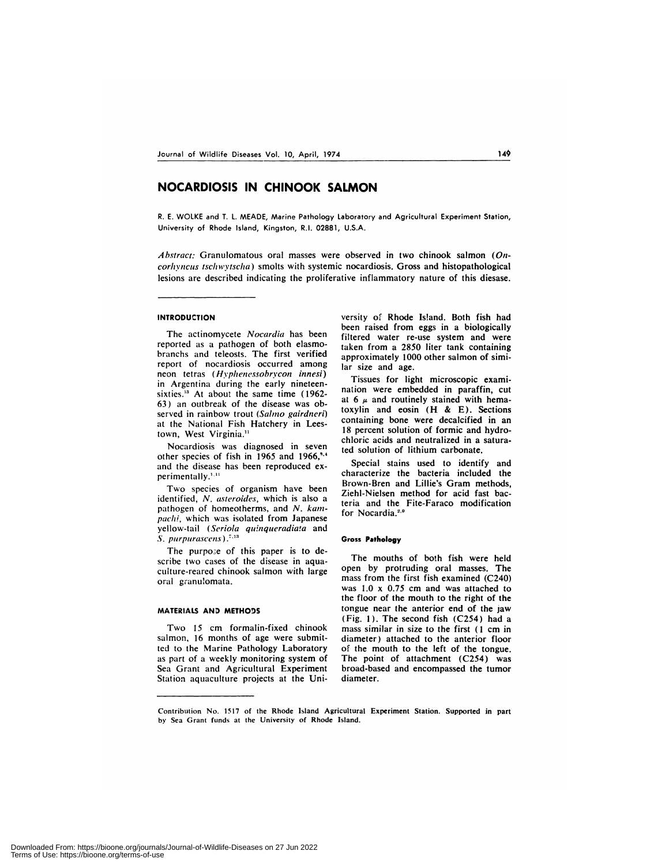## **NOCARDIOSIS IN CHINOOK SALMON**

R. E. WOLKE and T.L. MEADE, Marine Pathology Laboratory and Agricultural Experiment Station, University of Rhode Island, Kingston, RI. 02881, U.S.A.

*Abstract:* Granulomatous oral masses were observed in two chinook salmon *(Oncorhyncus tschwyischa)* smolts with systemic nocardiosis. Gross and histopathological lesions are described indicating the proliferative inflammatory nature of this diesase.

#### **INTRODUCTION**

The actinomycete *Nocardia* has been reported as a pathogen of both elasmobranchs and teleosts. The first verified report of nocardiosis occurred among neon tetras *(Hyphenessobrycon innesi)* in Argentina during the early nineteensixties.<sup>13</sup> At about the same time (1962-63) an outbreak of the disease was observed in rainbow trout *(Salmo gairdneri)* at the National Fish Hatchery in Leestown, West Virginia.<sup>11</sup>

Nocardiosis was diagnosed in seven other species of fish in 1965 and 1966," and the disease has been reproduced ex perimentally.<sup>1,11</sup>

Two species of organism have been identified, *N. asteroides,* which is also a pathogen of homeotherms, and *N. kampachi,* which was isolated from Japanese yellow-tail *(Serbia quinqueradiaa* and *S. purpurascens)*

The purpose of this paper is to describe two cases of the disease in aquaculture-reared chinook salmon with large oral granulomata.

#### MATERIALS AND METHODS

Two 15 cm formalin-fixed chinook salmon, 16 months of age were submitted to the Marine Pathology Laboratory as part of a weekly monitoring system of Sea Grant and Agricultural Experiment Station aquaculture projects at the University of Rhode Island. Both fish had been raised from eggs in a biologically filtered water re-use system and were taken from a 2850 liter tank containing approximately 1000 other salmon of similar size and age.

Tissues for light microscopic examination were embedded in paraffin, cut at 6  $\mu$  and routinely stained with hematoxylin and eosin (H & E). Sections containing bone were decalcified in an 18 percent solution of formic and hydrochloric acids and neutralized in a saturated solution of lithium carbonate.

Special stains used to identify and characterize the bacteria included the Brown-Bren and Lillie's Gram methods, Ziehl-Nielsen method for acid fast bacteria and the Fite-Faraco modification for Nocardia.<sup>2,6</sup>

#### **Gross Pathology**

The mouths of both fish were held open by protruding oral masses. The mass from the first fish examined (C240) was 1.0 x 0.75 cm and was attached to the floor of the mouth to the right of the tongue near the anterior end of the jaw (Fig. 1). The second fish (C254) had a mass similar in size to the first (1 cm in diameter) attached to the anterior floor of the mouth to the left of the tongue. The point of attachment (C254) was broad-based and encompassed the tumor diameter.

Contribution No. 1517 of the Rhode Island Agricultural Experiment Station. Supported in part by Sea Grant funds at the University of Rhode Island.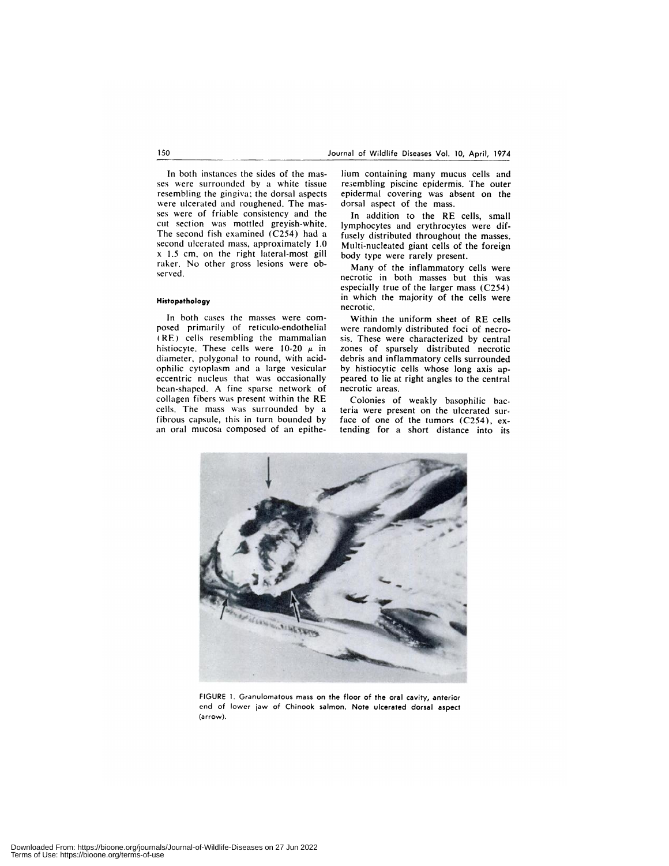In both instances the sides of the mas ses were surrounded by a white tissue resembling the gingiva: the dorsal aspects were ulcerated and roughened. The mas ses were of friable consistency and the cut section was mottled greyish-white. The second fish examined (C254) had a second ulcerated mass, approximately 1.0 x 1.5 cm, on the right lateral-most gill raker. No other gross lesions were ob served.

#### **Histopathology**

In both cases the masses were com posed primarily of reticulo-endothelial (RE) cells resembling the mammalian histiocyte. These cells were 10-20  $\mu$  in diameter, polygonal to round, with acidophilic cytoplasm and a large vesicular eccentric nucleus that was occasionally bean-shaped. A fine sparse network of collagen fibers was present within the RE cells. The mass was surrounded by a fibrous capsule, this in turn bounded by an oral mucosa composed of an epithe-

lium containing many mucus cells and re3embhing piscine epidermis. The outer epidermal covering was absent on the dorsal aspect of the mass.

In addition to the RE cells, small lymphocytes and erythrocytes were diffusely distributed throughout the masses. Multi-nucleated giant cells of the foreign body type were rarely present.

Many of the inflammatory cells were necrotic in both masses but this was especially true of the larger mass (C254) in which the majority of the cells were necrotic.

Within the uniform sheet of RE cells were randomly distributed foci of necro sis, These were characterized by central zones of sparsely distributed necrotic debris and inflammatory cells surrounded by histiocytic cells whose long axis appeared to lie at right angles to the central necrotic areas.

Colonies of weakly basophilic bacteria were present on the ulcerated surface of one of the tumors (C254), extending for a short distance into its



FIGURE 1. Granulomatous mass on the floor of the oral cavity, anterior end of lower jaw of Chinook salmon. Note ulcerated dorsal aspect (arrow).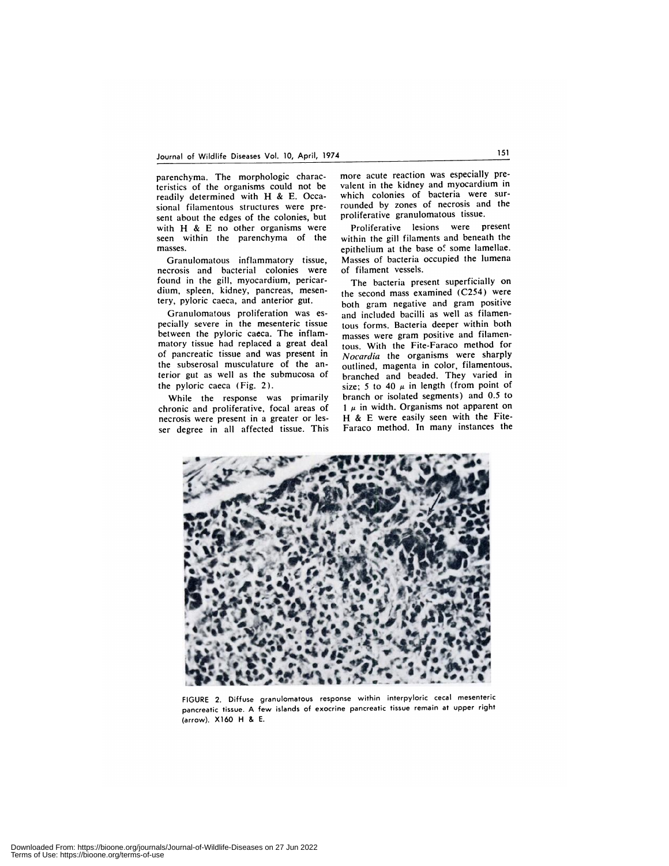parenchyma. The morphologic characteristics of the organisms could not be readily determined with H & E. Occasional filamentous structures were pre sent about the edges of the colonies, but with H & E no other organisms were seen within the parenchyma of the masses.

Granulomatous inflammatory tissue, necrosis and bacterial colonies were found in the gill, myocardium, pericardium, spleen, kidney, pancreas, mesentery, pyloric caeca, and anterior gut.

Granulomatous proliferation was es pecially severe in the mesenteric tissue between the pyloric caeca. The inflammatory tissue had replaced a great deal of pancreatic tissue and was present in the subserosal musculature of the anterior gut as well as the submucosa of the pyhoric caeca (Fig. 2).

While the response was primarily chronic and proliferative, focal areas of necrosis were present in a greater or les ser degree in all affected tissue. This

more acute reaction was especially prevalent in the kidney and myocardium in which colonies of bacteria were surrounded by zones of necrosis and the proliferative granulomatous tissue.

Proliferative lesions were present within the gill filaments and beneath the epithelium at the base of some lamellae. Masses of bacteria occupied the lumena of filament vessels.

The bacteria present superficially on the second mass examined (C254) were both gram negative and gram positive and included bacilli as well as filamentous forms. Bacteria deeper within both masses were gram positive and filamentous. With the Fite-Faraco method for *Nocardia* the organisms were sharply outlined, magenta in color, filamentous, branched and beaded. They varied in size; 5 to 40  $\mu$  in length (from point of branch or isolated segments) and 0.5 to  $1 \mu$  in width. Organisms not apparent on **H & E** were easily seen with the Fite-Faraco method. In many instances the



FIGURE 2. Diffuse granulomatous response within interpyloric cecal mesenteric pancreatic tissue. A few islands of exocrine pancreatic tissue remain at upper right (arrow). X160 H & E.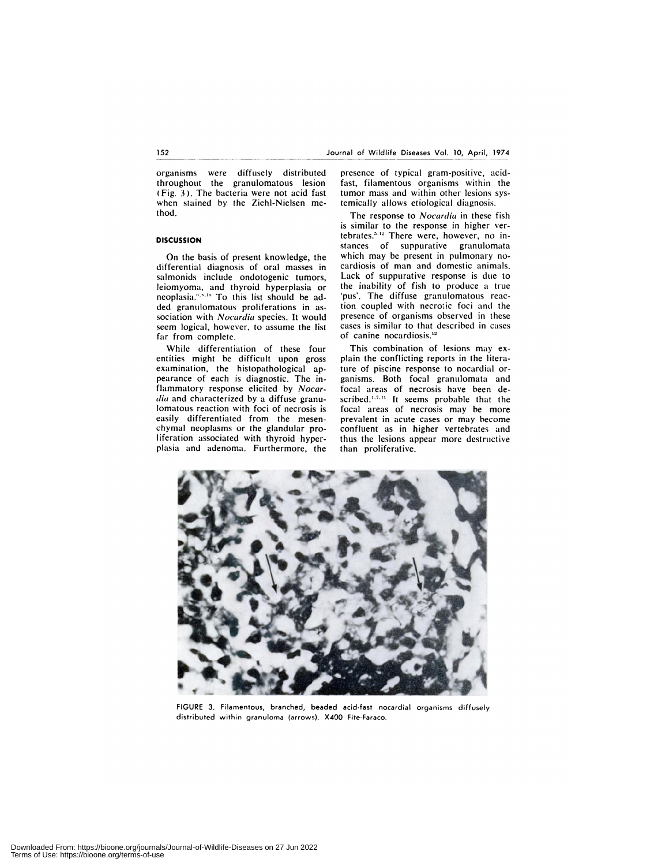organisms were diffusely distributed throughout the granulomatous lesion (Fig. *3).* The bacteria were not acid fast when stained by the Ziehl-Nielsen method.

### **DISCUSSION**

On the basis of present knowledge, the differential diagnosis of oral masses in salmonids include ondotogenic tumors, leiomyoma, and thyroid hyperplasia or neoplasia."<sup>510</sup> To this list should be added granulomatous proliferations in as sociation with *Nocardia* species. It would seem logical, however, to assume the list far from complete.

While differentiation of these four entities might be difficult upon gross examination, the histopathological appearance of each is diagnostic. The inflammatory response elicited by *Nocar dia* and characterized by a diffuse granulomatous reaction with foci of necrosis is easily differentiated from the mesen chymal neoplasms or the glandular proliferation associated with thyroid hyperplasia and adenoma. Furthermore, the

presence of typical gram-positive, acid fast, filamentous organisms within the tumor mass and within other lesions systemically allows etiological diagnosis.

The response to *Nocardia* in these fish is similar to the response in higher vertebrates.<sup>5,12</sup> There were, however, no instances of suppurative granulomata which may be present in pulmonary no cardiosis of man and domestic animals. Lack of suppurative response is due to the inability of fish to produce a true 'pus'. The diffuse granulomatous reaction coupled with necrotic foci and the presence of organisms observed in these cases is similar to that described in cases of canine nocardiosis.<sup>12</sup>

This combination of lesions may ex plain the conflicting reports in the literature of piscine response to nocardial or ganisms. Both focal granulomata and focal areas of necrosis have been de scribed.<sup>1,7,11</sup> It seems probable that the focal areas of necrosis may be more prevalent in acute cases or may become confluent as in higher vertebrates and thus the lesions appear more destructive than proliferative.



FIGURE 3. Filamentous, branched, beaded acid-fast nocardial organisms diffusely distributed within granuloma (arrows). X400 Fite-Faraco.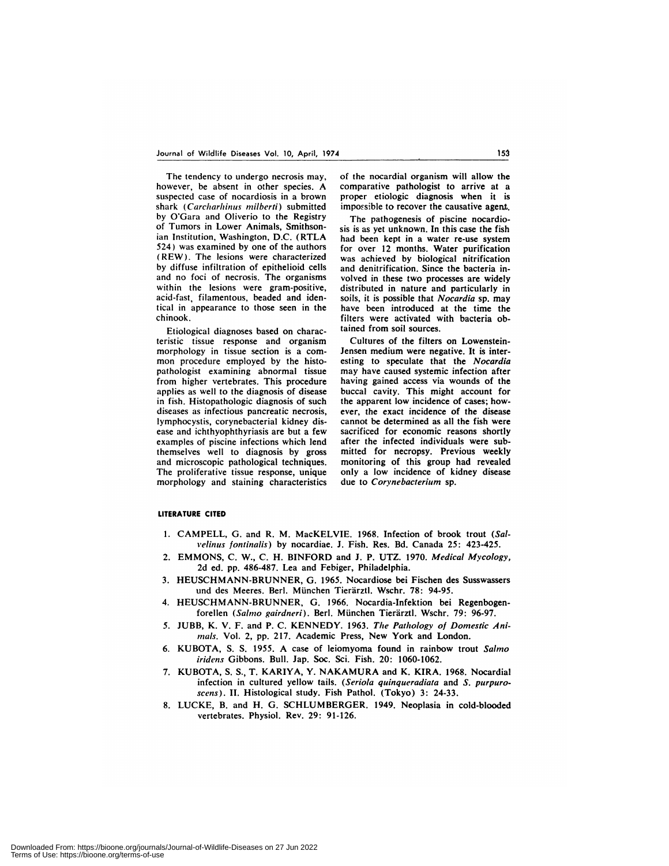The tendency to undergo necrosis may, however, be absent in other species. A suspected case of nocardiosis in a brown shark (Carcharhinus milberti) submitted by O'Gara and Oliverio to the Registry of Tumors in Lower Animals, Smithsonian Institution, Washington, D.C. (RTLA 524) was examined by one of the authors **(REW).** The lesions were characterized by diffuse infiltration of epithelioid cells and no foci of necrosis. The organisms within the lesions were gram-positive, acid-fast, filamentous, beaded and identical in appearance to those seen in the chinook.

Etiological diagnoses based on characteristic tissue response and organism morphology in tissue section is a com mon procedure employed by the histopathologist examining abnormal tissue from higher vertebrates. This procedure applies as well to the diagnosis of disease in fish. Histopathologic diagnosis of such diseases as infectious pancreatic necrosis, lymphocystis, corynebacterial kidney dis ease and ichthyophthyriasis are but a few examples of piscine infections which lend themselves well to diagnosis by gross and microscopic pathological techniques. The proliferative tissue response, unique morphology and staining characteristics of the nocardial organism will allow the comparative pathologist to arrive at a proper etiologic diagnosis when it is impossible to recover the causative agent.

The pathogenesis of piscine nocardiosis is as yet unknown. In this case the fish had been kept in a water re-use system for over 12 months. Water purification was achieved by biological nitrification and denitrification. Since the bacteria involved in these two processes are widely distributed in nature and particularly in soils, it is possible that *Nocardia* sp. may have been introduced at the time the filters were activated with bacteria obtained from soil sources.

Cultures of the filters on Lowenstein-Jensen medium were negative. It is interesting to speculate that the *Nocardia* may have caused systemic infection after having gained access via wounds of the buccal cavity. This might account for the apparent low incidence of cases; how ever, the exact incidence of the disease cannot be determined as all the fish were sacrificed for economic reasons shortly after the infected individuals were submitted for necropsy. Previous weekly monitoring of this group had revealed only a low incidence of kidney disease due to *Corynebacterium* sp.

#### **LITERATURE CITED**

- 1. CAMPELL, G. and R. M. MacKELVIE. 1968. Infection of brook trout *(Sali'elinus fontinalis)* by nocardiae. J. Fish. Res. Bd. Canada 25: 423-425.
- 2. EMMONS, C. W., C. H. BINFORD and J. P. UTZ. 1970. *Medical Mycology,* 2d ed.pp. 486-487. Lea and Febiger, Philadelphia.
- 3. HEUSCHMANN-BRUNNER, G. 1965. Nocardiose bei Fischen des Susswassers und des Meeres. Berl. München Tierärztl. Wschr. 78: 94-95.
- 4. HEUSCHMANN-BRUNNER, G. 1966. Nocardia-Infektion bei Regenbogenforellen (Salmo gairdneri). Berl. München Tierärztl. Wschr. 79: 96-97.
- 5. JUBB, K. V. F. and P.C. KENNEDY. 1963. *The Pathology of Domestic Ani* mals. Vol. 2, pp. 217. Academic Press, New York and London.
- 6. KUBOTA, 5. 5. 1955. A case of leiomyoma found in rainbow trout *Salmo iridens* Gibbons. Bull. Jap. Soc. Sci. Fish. 20: 1060-1062.
- 7. KUBOTA, S. S., T. KARIYA, Y. NAKAMURA and K. KIRA. 1968. Nocardial infection in cultured yellow tails. *(Seriola quinqueradiaz'a* and *S. purpuro* scens). II. Histological study. Fish Pathol. (Tokyo) 3: 24-33.
- 8. LUCKE, B. and H. G. SCHLUMBERGER. 1949. Neoplasia in cold-blooded vertebrates. Physiol. Rev. 29: 91-126.